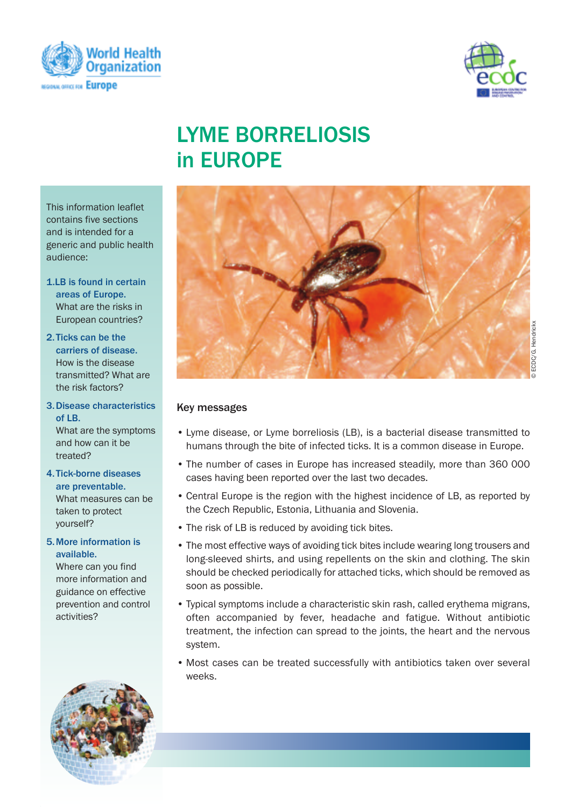



# Lyme borreLiosis in **EUROPE**

This information leaflet contains five sections and is intended for a generic and public health audience:

- 1.Lb is found in certain areas of Europe. What are the risks in European countries?
- 2.Ticks can be the carriers of disease. How is the disease transmitted? What are the risk factors?
- 3.Disease characteristics  $of IR$ What are the symptoms and how can it be treated?
- 4.Tick-borne diseases are preventable. What measures can be taken to protect yourself?
- 5.more information is available.

Where can you find more information and guidance on effective prevention and control activities?



#### Key messages

- Lyme disease, or Lyme borreliosis (LB), is a bacterial disease transmitted to humans through the bite of infected ticks. It is a common disease in Europe.
- The number of cases in Europe has increased steadily, more than 360 000 cases having been reported over the last two decades.
- Central Europe is the region with the highest incidence of LB, as reported by the Czech Republic, Estonia, Lithuania and Slovenia.
- The risk of LB is reduced by avoiding tick bites.
- The most effective ways of avoiding tick bites include wearing long trousers and long-sleeved shirts, and using repellents on the skin and clothing. The skin should be checked periodically for attached ticks, which should be removed as soon as possible.
- Typical symptoms include a characteristic skin rash, called erythema migrans, often accompanied by fever, headache and fatigue. Without antibiotic treatment, the infection can spread to the joints, the heart and the nervous system.
- Most cases can be treated successfully with antibiotics taken over several weeks.

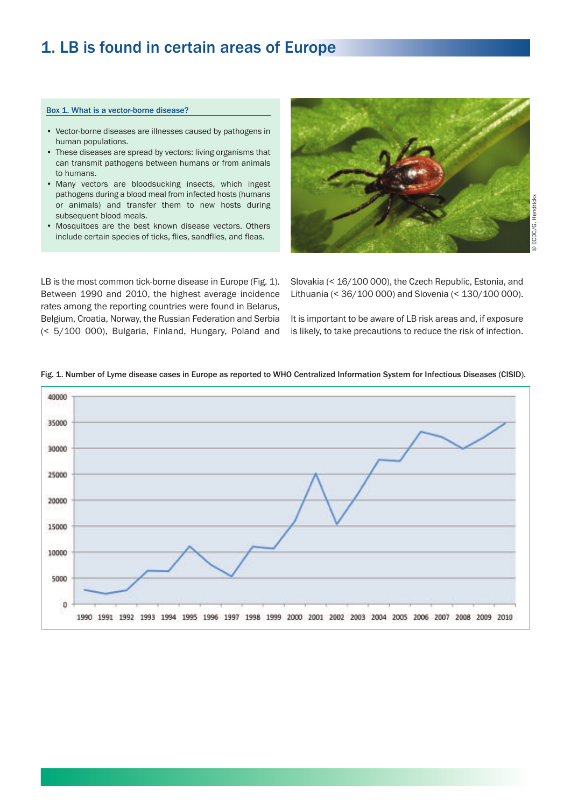### 1. LB is found in certain areas of Europe

#### Box 1. What is a vector-borne disease?

- Vector-borne diseases are illnesses caused by pathogens in human populations.
- These diseases are spread by vectors: living organisms that can transmit pathogens between humans or from animals to humans.
- Many vectors are bloodsucking insects, which ingest pathogens during a blood meal from infected hosts (humans or animals) and transfer them to new hosts during subsequent blood meals.
- Mosquitoes are the best known disease vectors. Others include certain species of ticks, flies, sandflies, and fleas.



LB is the most common tick-borne disease in Europe (Fig. 1). Between 1990 and 2010, the highest average incidence rates among the reporting countries were found in Belarus, Belgium, Croatia, Norway, the Russian Federation and Serbia (< 5/100 000), Bulgaria, Finland, Hungary, Poland and

Slovakia (< 16/100 000), the Czech Republic, Estonia, and Lithuania (< 36/100 000) and Slovenia (< 130/100 000).

It is important to be aware of LB risk areas and, if exposure is likely, to take precautions to reduce the risk of infection.



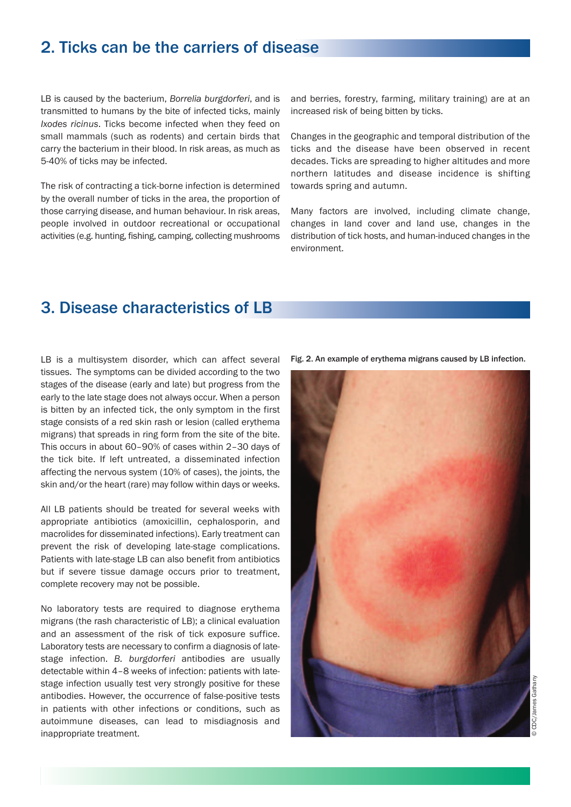### 2. Ticks can be the carriers of disease

LB is caused by the bacterium, *Borrelia burgdorferi*, and is transmitted to humans by the bite of infected ticks, mainly *Ixodes ricinus*. Ticks become infected when they feed on small mammals (such as rodents) and certain birds that carry the bacterium in their blood. In risk areas, as much as 5-40% of ticks may be infected.

The risk of contracting a tick-borne infection is determined by the overall number of ticks in the area, the proportion of those carrying disease, and human behaviour. In risk areas, people involved in outdoor recreational or occupational activities (e.g. hunting, fishing, camping, collecting mushrooms

and berries, forestry, farming, military training) are at an increased risk of being bitten by ticks.

Changes in the geographic and temporal distribution of the ticks and the disease have been observed in recent decades. Ticks are spreading to higher altitudes and more northern latitudes and disease incidence is shifting towards spring and autumn.

Many factors are involved, including climate change, changes in land cover and land use, changes in the distribution of tick hosts, and human-induced changes in the environment.

### 3. Disease characteristics of LB

LB is a multisystem disorder, which can affect several tissues. The symptoms can be divided according to the two stages of the disease (early and late) but progress from the early to the late stage does not always occur. When a person is bitten by an infected tick, the only symptom in the first stage consists of a red skin rash or lesion (called erythema migrans) that spreads in ring form from the site of the bite. This occurs in about 60–90% of cases within 2–30 days of the tick bite. If left untreated, a disseminated infection affecting the nervous system (10% of cases), the joints, the skin and/or the heart (rare) may follow within days or weeks.

All LB patients should be treated for several weeks with appropriate antibiotics (amoxicillin, cephalosporin, and macrolides for disseminated infections). Early treatment can prevent the risk of developing late-stage complications. Patients with late-stage LB can also benefit from antibiotics but if severe tissue damage occurs prior to treatment, complete recovery may not be possible.

No laboratory tests are required to diagnose erythema migrans (the rash characteristic of LB); a clinical evaluation and an assessment of the risk of tick exposure suffice. Laboratory tests are necessary to confirm a diagnosis of latestage infection. *B. burgdorferi* antibodies are usually detectable within 4–8 weeks of infection: patients with latestage infection usually test very strongly positive for these antibodies. However, the occurrence of false-positive tests in patients with other infections or conditions, such as autoimmune diseases, can lead to misdiagnosis and inappropriate treatment.



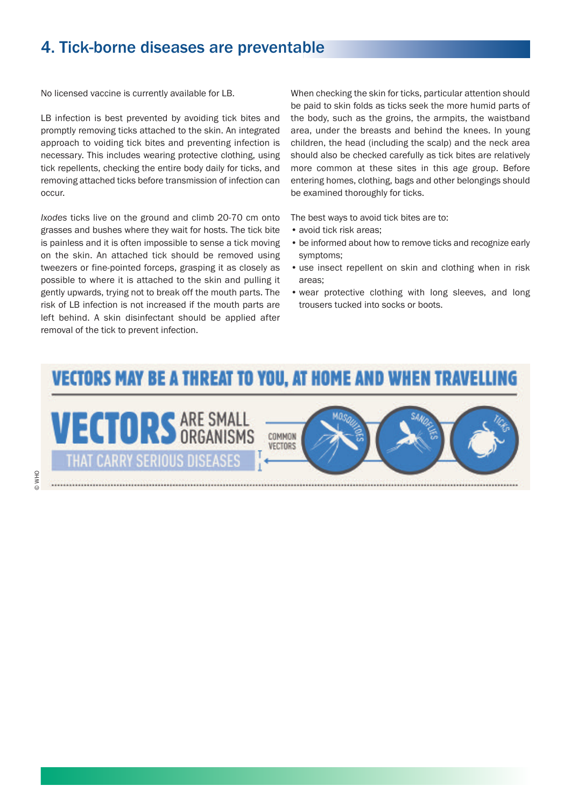### 4. Tick-borne diseases are preventable

No licensed vaccine is currently available for LB.

LB infection is best prevented by avoiding tick bites and promptly removing ticks attached to the skin. An integrated approach to voiding tick bites and preventing infection is necessary. This includes wearing protective clothing, using tick repellents, checking the entire body daily for ticks, and removing attached ticks before transmission of infection can occur.

*Ixodes* ticks live on the ground and climb 20-70 cm onto grasses and bushes where they wait for hosts. The tick bite is painless and it is often impossible to sense a tick moving on the skin. An attached tick should be removed using tweezers or fine-pointed forceps, grasping it as closely as possible to where it is attached to the skin and pulling it gently upwards, trying not to break off the mouth parts. The risk of LB infection is not increased if the mouth parts are left behind. A skin disinfectant should be applied after removal of the tick to prevent infection.

When checking the skin for ticks, particular attention should be paid to skin folds as ticks seek the more humid parts of the body, such as the groins, the armpits, the waistband area, under the breasts and behind the knees. In young children, the head (including the scalp) and the neck area should also be checked carefully as tick bites are relatively more common at these sites in this age group. Before entering homes, clothing, bags and other belongings should be examined thoroughly for ticks.

The best ways to avoid tick bites are to:

- avoid tick risk areas;
- be informed about how to remove ticks and recognize early symptoms;
- use insect repellent on skin and clothing when in risk areas;
- wear protective clothing with long sleeves, and long trousers tucked into socks or boots.

# **VECTORS MAY BE A THREAT TO YOU, AT HOME AND WHEN TRAVELLING**

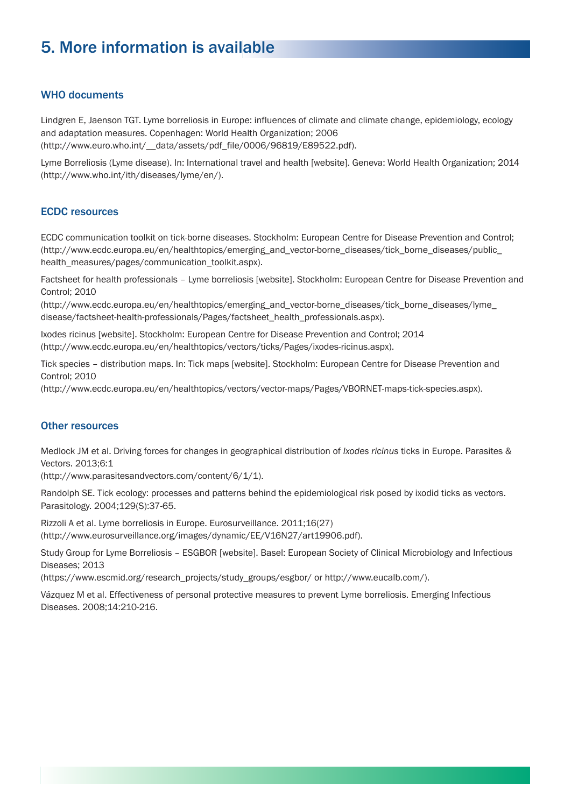## 5. more information is available

### WHO documents

Lindgren E, Jaenson TGT. Lyme borreliosis in Europe: influences of climate and climate change, epidemiology, ecology and adaptation measures. Copenhagen: World Health Organization; 2006 (http://www.euro.who.int/\_\_data/assets/pdf\_file/0006/96819/E89522.pdf).

Lyme Borreliosis (Lyme disease). In: International travel and health [website]. Geneva: World Health Organization; 2014 (http://www.who.int/ith/diseases/lyme/en/).

#### **ECDC** resources

ECDC communication toolkit on tick-borne diseases. Stockholm: European Centre for Disease Prevention and Control; (http://www.ecdc.europa.eu/en/healthtopics/emerging\_and\_vector-borne\_diseases/tick\_borne\_diseases/public\_ health\_measures/pages/communication\_toolkit.aspx).

Factsheet for health professionals – Lyme borreliosis [website]. Stockholm: European Centre for Disease Prevention and Control; 2010

(http://www.ecdc.europa.eu/en/healthtopics/emerging\_and\_vector-borne\_diseases/tick\_borne\_diseases/lyme\_ disease/factsheet-health-professionals/Pages/factsheet\_health\_professionals.aspx).

Ixodes ricinus [website]. Stockholm: European Centre for Disease Prevention and Control; 2014 (http://www.ecdc.europa.eu/en/healthtopics/vectors/ticks/Pages/ixodes-ricinus.aspx).

Tick species – distribution maps. In: Tick maps [website]. Stockholm: European Centre for Disease Prevention and Control; 2010

(http://www.ecdc.europa.eu/en/healthtopics/vectors/vector-maps/Pages/VBORNET-maps-tick-species.aspx).

#### **Other resources**

Medlock JM et al. Driving forces for changes in geographical distribution of *Ixodes ricinus* ticks in Europe. Parasites & Vectors. 2013;6:1

(http://www.parasitesandvectors.com/content/6/1/1).

Randolph SE. Tick ecology: processes and patterns behind the epidemiological risk posed by ixodid ticks as vectors. Parasitology. 2004;129(S):37-65.

Rizzoli A et al. Lyme borreliosis in Europe. Eurosurveillance. 2011;16(27) (http://www.eurosurveillance.org/images/dynamic/EE/V16N27/art19906.pdf).

Study Group for Lyme Borreliosis – ESGBOR [website]. Basel: European Society of Clinical Microbiology and Infectious Diseases; 2013

(https://www.escmid.org/research\_projects/study\_groups/esgbor/ or http://www.eucalb.com/).

Vázquez M et al. Effectiveness of personal protective measures to prevent Lyme borreliosis. Emerging Infectious Diseases. 2008;14:210-216.